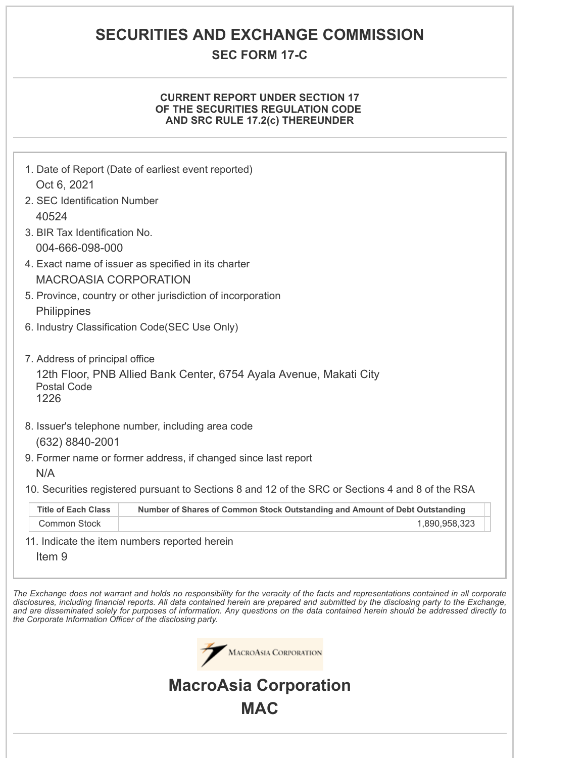# **SECURITIES AND EXCHANGE COMMISSION**

# **SEC FORM 17-C**

## **CURRENT REPORT UNDER SECTION 17 OF THE SECURITIES REGULATION CODE AND SRC RULE 17.2(c) THEREUNDER**

| Oct 6, 2021<br>2. SEC Identification Number<br>40524                                   | 1. Date of Report (Date of earliest event reported)                                                                                                                                                                                                                                                          |
|----------------------------------------------------------------------------------------|--------------------------------------------------------------------------------------------------------------------------------------------------------------------------------------------------------------------------------------------------------------------------------------------------------------|
| 3. BIR Tax Identification No.<br>004-666-098-000                                       |                                                                                                                                                                                                                                                                                                              |
| <b>MACROASIA CORPORATION</b>                                                           | 4. Exact name of issuer as specified in its charter                                                                                                                                                                                                                                                          |
| <b>Philippines</b>                                                                     | 5. Province, country or other jurisdiction of incorporation                                                                                                                                                                                                                                                  |
|                                                                                        | 6. Industry Classification Code(SEC Use Only)                                                                                                                                                                                                                                                                |
| 7. Address of principal office<br><b>Postal Code</b><br>1226<br>(632) 8840-2001<br>N/A | 12th Floor, PNB Allied Bank Center, 6754 Ayala Avenue, Makati City<br>8. Issuer's telephone number, including area code<br>9. Former name or former address, if changed since last report                                                                                                                    |
| <b>Title of Each Class</b>                                                             | 10. Securities registered pursuant to Sections 8 and 12 of the SRC or Sections 4 and 8 of the RSA<br>Number of Shares of Common Stock Outstanding and Amount of Debt Outstanding                                                                                                                             |
| <b>Common Stock</b>                                                                    | 1,890,958,323                                                                                                                                                                                                                                                                                                |
| Item <sub>9</sub>                                                                      | 11. Indicate the item numbers reported herein<br>The Exchange does not warrant and holds no responsibility for the veracity of the facts and representations contained in all corporate                                                                                                                      |
| the Corporate Information Officer of the disclosing party.                             | disclosures, including financial reports. All data contained herein are prepared and submitted by the disclosing party to the Exchange,<br>and are disseminated solely for purposes of information. Any questions on the data contained herein should be addressed directly to<br>.<br>MacroAsia Corporation |

**MacroAsia Corporation**

**MAC**